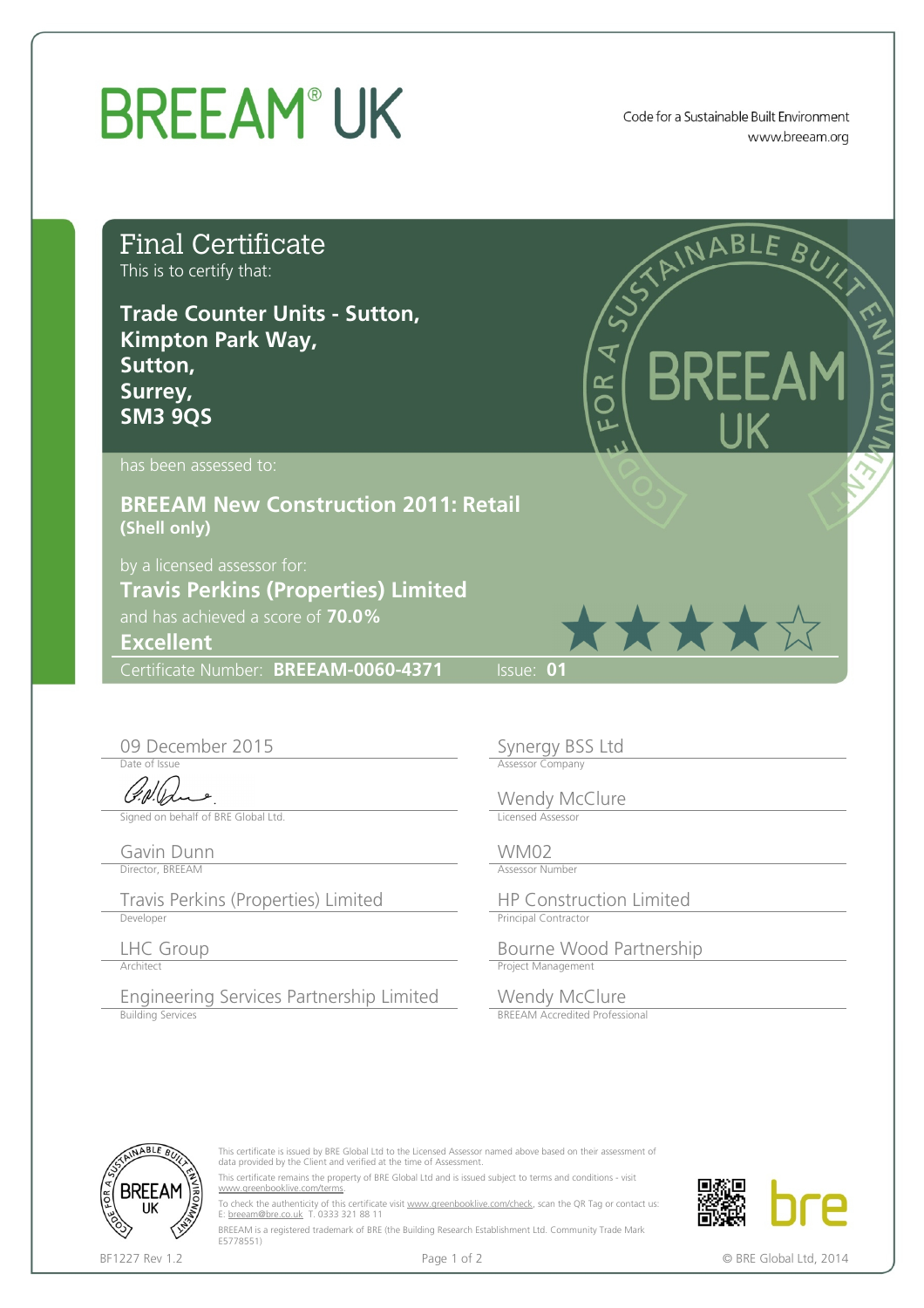## **BREEAM®UK**

Code for a Sustainable Built Environment www.breeam.org

| <b>Final Certificate</b><br>This is to certify that:<br><b>Trade Counter Units - Sutton,</b><br><b>Kimpton Park Way,</b><br>Sutton,<br>Surrey,<br><b>SM3 9QS</b> | RIAINABLE BUY<br><b>BREEAM</b><br>OR<br>O                                        |
|------------------------------------------------------------------------------------------------------------------------------------------------------------------|----------------------------------------------------------------------------------|
| has been assessed to:                                                                                                                                            |                                                                                  |
| <b>BREEAM New Construction 2011: Retail</b><br>(Shell only)                                                                                                      |                                                                                  |
| by a licensed assessor for:<br><b>Travis Perkins (Properties) Limited</b><br>and has achieved a score of 70.0%<br><b>Excellent</b>                               | ★★★★☆                                                                            |
| Certificate Number: BREEAM-0060-4371                                                                                                                             | $\overline{\textsf{llsue}: 01}$                                                  |
| 09 December 2015<br>Date of Issue<br>Signed on behalf of BRE Global Ltd.                                                                                         | Synergy BSS Ltd<br><b>Assessor Company</b><br>Wendy McClure<br>Licensed Assessor |
| Gavin Dunn<br>Director, BREEAM                                                                                                                                   | WM02<br><b>Assessor Number</b>                                                   |
| Travis Perkins (Properties) Limited<br>Developer                                                                                                                 | <b>HP Construction Limited</b><br><b>Principal Contractor</b>                    |
| LHC Group<br>Architect                                                                                                                                           | Bourne Wood Partnership<br>Project Management                                    |
| Engineering Services Partnership Limited<br><b>Building Services</b>                                                                                             | Wendy McClure<br><b>BREEAM Accredited Professional</b>                           |



This certificate is issued by BRE Global Ltd to the Licensed Assessor named above based on their assessment of data provided by the Client and verified at the time of Assessment. This certificate remains the property of BRE Global Ltd and is issued subject to terms and conditions - visit

[www.greenbooklive.com/terms](http://www.greenbooklive.com/terms).

To check the authenticity of this certificate visit <u>www.greenbooklive.com/check</u>, scan the QR Tag or contact us:<br>E: <u>[breeam@bre.co.uk](mailto:breeam@bre.co.uk)</u> T. 0333 321 88 11

BREEAM is a registered trademark of BRE (the Building Research Establishment Ltd. Community Trade Mark E5778551)



BF1227 Rev 1.2 **Page 1 of 2** Page 1 of 2 **CALC 2014 CALC 2014 C** BRE Global Ltd, 2014